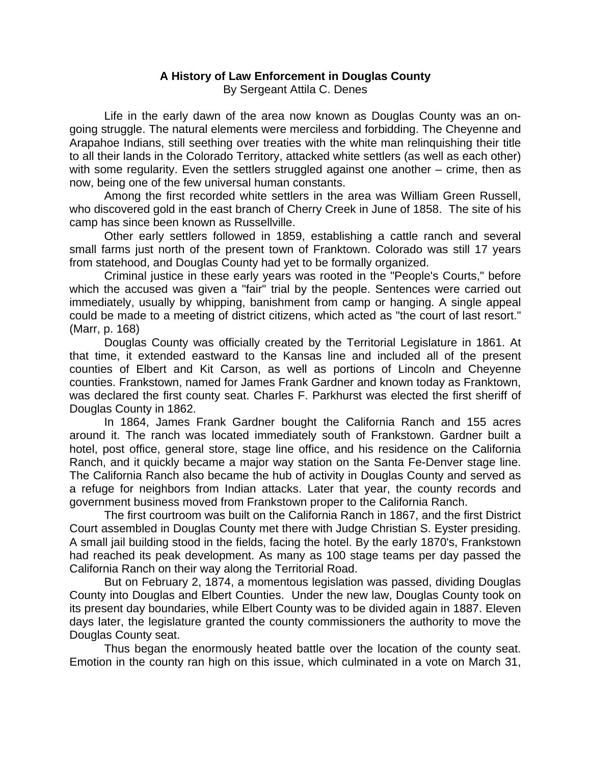## **A History of Law Enforcement in Douglas County**  By Sergeant Attila C. Denes

Life in the early dawn of the area now known as Douglas County was an ongoing struggle. The natural elements were merciless and forbidding. The Cheyenne and Arapahoe Indians, still seething over treaties with the white man relinquishing their title to all their lands in the Colorado Territory, attacked white settlers (as well as each other) with some regularity. Even the settlers struggled against one another – crime, then as now, being one of the few universal human constants.

 Among the first recorded white settlers in the area was William Green Russell, who discovered gold in the east branch of Cherry Creek in June of 1858. The site of his camp has since been known as Russellville.

Other early settlers followed in 1859, establishing a cattle ranch and several small farms just north of the present town of Franktown. Colorado was still 17 years from statehood, and Douglas County had yet to be formally organized.

Criminal justice in these early years was rooted in the "People's Courts," before which the accused was given a "fair" trial by the people. Sentences were carried out immediately, usually by whipping, banishment from camp or hanging. A single appeal could be made to a meeting of district citizens, which acted as "the court of last resort." (Marr, p. 168)

Douglas County was officially created by the Territorial Legislature in 1861. At that time, it extended eastward to the Kansas line and included all of the present counties of Elbert and Kit Carson, as well as portions of Lincoln and Cheyenne counties. Frankstown, named for James Frank Gardner and known today as Franktown, was declared the first county seat. Charles F. Parkhurst was elected the first sheriff of Douglas County in 1862.

In 1864, James Frank Gardner bought the California Ranch and 155 acres around it. The ranch was located immediately south of Frankstown. Gardner built a hotel, post office, general store, stage line office, and his residence on the California Ranch, and it quickly became a major way station on the Santa Fe-Denver stage line. The California Ranch also became the hub of activity in Douglas County and served as a refuge for neighbors from Indian attacks. Later that year, the county records and government business moved from Frankstown proper to the California Ranch.

The first courtroom was built on the California Ranch in 1867, and the first District Court assembled in Douglas County met there with Judge Christian S. Eyster presiding. A small jail building stood in the fields, facing the hotel. By the early 1870's, Frankstown had reached its peak development. As many as 100 stage teams per day passed the California Ranch on their way along the Territorial Road.

But on February 2, 1874, a momentous legislation was passed, dividing Douglas County into Douglas and Elbert Counties. Under the new law, Douglas County took on its present day boundaries, while Elbert County was to be divided again in 1887. Eleven days later, the legislature granted the county commissioners the authority to move the Douglas County seat.

Thus began the enormously heated battle over the location of the county seat. Emotion in the county ran high on this issue, which culminated in a vote on March 31,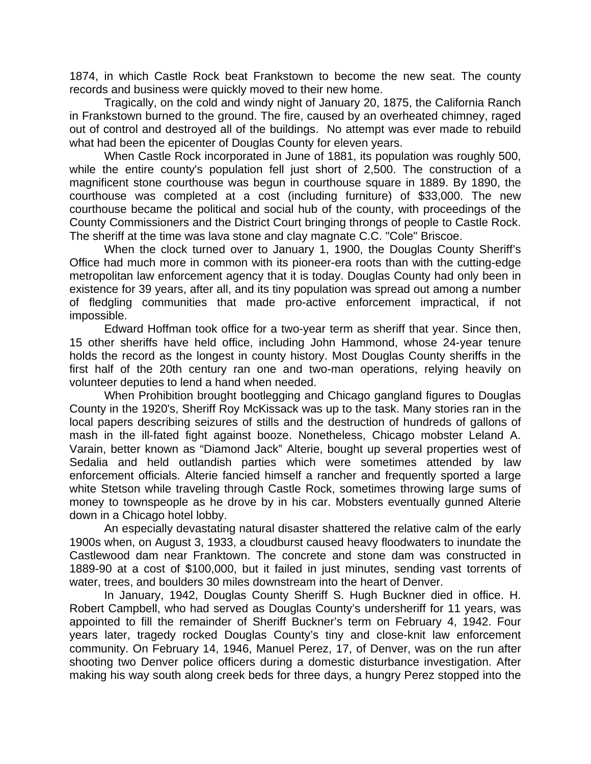1874, in which Castle Rock beat Frankstown to become the new seat. The county records and business were quickly moved to their new home.

Tragically, on the cold and windy night of January 20, 1875, the California Ranch in Frankstown burned to the ground. The fire, caused by an overheated chimney, raged out of control and destroyed all of the buildings. No attempt was ever made to rebuild what had been the epicenter of Douglas County for eleven years.

When Castle Rock incorporated in June of 1881, its population was roughly 500, while the entire county's population fell just short of 2,500. The construction of a magnificent stone courthouse was begun in courthouse square in 1889. By 1890, the courthouse was completed at a cost (including furniture) of \$33,000. The new courthouse became the political and social hub of the county, with proceedings of the County Commissioners and the District Court bringing throngs of people to Castle Rock. The sheriff at the time was lava stone and clay magnate C.C. "Cole" Briscoe.

When the clock turned over to January 1, 1900, the Douglas County Sheriff's Office had much more in common with its pioneer-era roots than with the cutting-edge metropolitan law enforcement agency that it is today. Douglas County had only been in existence for 39 years, after all, and its tiny population was spread out among a number of fledgling communities that made pro-active enforcement impractical, if not impossible.

Edward Hoffman took office for a two-year term as sheriff that year. Since then, 15 other sheriffs have held office, including John Hammond, whose 24-year tenure holds the record as the longest in county history. Most Douglas County sheriffs in the first half of the 20th century ran one and two-man operations, relying heavily on volunteer deputies to lend a hand when needed.

When Prohibition brought bootlegging and Chicago gangland figures to Douglas County in the 1920's, Sheriff Roy McKissack was up to the task. Many stories ran in the local papers describing seizures of stills and the destruction of hundreds of gallons of mash in the ill-fated fight against booze. Nonetheless, Chicago mobster Leland A. Varain, better known as "Diamond Jack" Alterie, bought up several properties west of Sedalia and held outlandish parties which were sometimes attended by law enforcement officials. Alterie fancied himself a rancher and frequently sported a large white Stetson while traveling through Castle Rock, sometimes throwing large sums of money to townspeople as he drove by in his car. Mobsters eventually gunned Alterie down in a Chicago hotel lobby.

An especially devastating natural disaster shattered the relative calm of the early 1900s when, on August 3, 1933, a cloudburst caused heavy floodwaters to inundate the Castlewood dam near Franktown. The concrete and stone dam was constructed in 1889-90 at a cost of \$100,000, but it failed in just minutes, sending vast torrents of water, trees, and boulders 30 miles downstream into the heart of Denver.

In January, 1942, Douglas County Sheriff S. Hugh Buckner died in office. H. Robert Campbell, who had served as Douglas County's undersheriff for 11 years, was appointed to fill the remainder of Sheriff Buckner's term on February 4, 1942. Four years later, tragedy rocked Douglas County's tiny and close-knit law enforcement community. On February 14, 1946, Manuel Perez, 17, of Denver, was on the run after shooting two Denver police officers during a domestic disturbance investigation. After making his way south along creek beds for three days, a hungry Perez stopped into the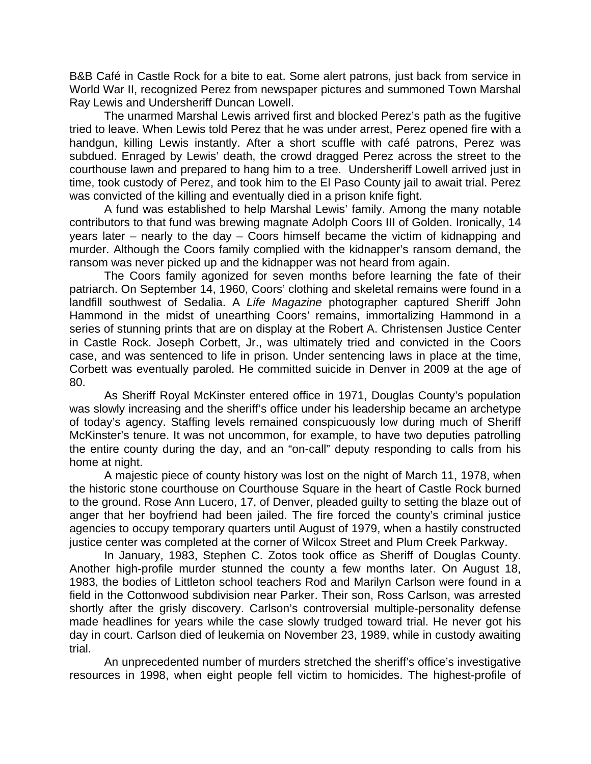B&B Café in Castle Rock for a bite to eat. Some alert patrons, just back from service in World War II, recognized Perez from newspaper pictures and summoned Town Marshal Ray Lewis and Undersheriff Duncan Lowell.

The unarmed Marshal Lewis arrived first and blocked Perez's path as the fugitive tried to leave. When Lewis told Perez that he was under arrest, Perez opened fire with a handgun, killing Lewis instantly. After a short scuffle with café patrons, Perez was subdued. Enraged by Lewis' death, the crowd dragged Perez across the street to the courthouse lawn and prepared to hang him to a tree. Undersheriff Lowell arrived just in time, took custody of Perez, and took him to the El Paso County jail to await trial. Perez was convicted of the killing and eventually died in a prison knife fight.

A fund was established to help Marshal Lewis' family. Among the many notable contributors to that fund was brewing magnate Adolph Coors III of Golden. Ironically, 14 years later – nearly to the day – Coors himself became the victim of kidnapping and murder. Although the Coors family complied with the kidnapper's ransom demand, the ransom was never picked up and the kidnapper was not heard from again.

The Coors family agonized for seven months before learning the fate of their patriarch. On September 14, 1960, Coors' clothing and skeletal remains were found in a landfill southwest of Sedalia. A *Life Magazine* photographer captured Sheriff John Hammond in the midst of unearthing Coors' remains, immortalizing Hammond in a series of stunning prints that are on display at the Robert A. Christensen Justice Center in Castle Rock. Joseph Corbett, Jr., was ultimately tried and convicted in the Coors case, and was sentenced to life in prison. Under sentencing laws in place at the time, Corbett was eventually paroled. He committed suicide in Denver in 2009 at the age of 80.

As Sheriff Royal McKinster entered office in 1971, Douglas County's population was slowly increasing and the sheriff's office under his leadership became an archetype of today's agency. Staffing levels remained conspicuously low during much of Sheriff McKinster's tenure. It was not uncommon, for example, to have two deputies patrolling the entire county during the day, and an "on-call" deputy responding to calls from his home at night.

A majestic piece of county history was lost on the night of March 11, 1978, when the historic stone courthouse on Courthouse Square in the heart of Castle Rock burned to the ground. Rose Ann Lucero, 17, of Denver, pleaded guilty to setting the blaze out of anger that her boyfriend had been jailed. The fire forced the county's criminal justice agencies to occupy temporary quarters until August of 1979, when a hastily constructed justice center was completed at the corner of Wilcox Street and Plum Creek Parkway.

In January, 1983, Stephen C. Zotos took office as Sheriff of Douglas County. Another high-profile murder stunned the county a few months later. On August 18, 1983, the bodies of Littleton school teachers Rod and Marilyn Carlson were found in a field in the Cottonwood subdivision near Parker. Their son, Ross Carlson, was arrested shortly after the grisly discovery. Carlson's controversial multiple-personality defense made headlines for years while the case slowly trudged toward trial. He never got his day in court. Carlson died of leukemia on November 23, 1989, while in custody awaiting trial.

An unprecedented number of murders stretched the sheriff's office's investigative resources in 1998, when eight people fell victim to homicides. The highest-profile of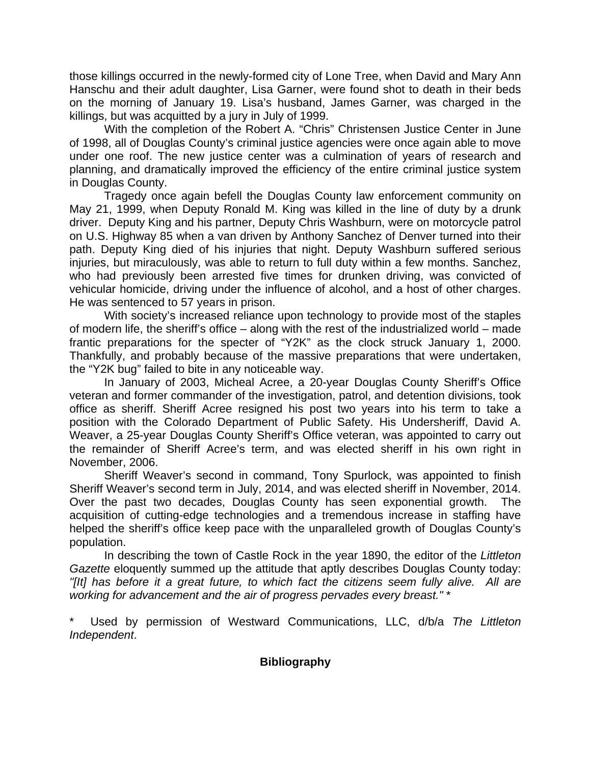those killings occurred in the newly-formed city of Lone Tree, when David and Mary Ann Hanschu and their adult daughter, Lisa Garner, were found shot to death in their beds on the morning of January 19. Lisa's husband, James Garner, was charged in the killings, but was acquitted by a jury in July of 1999.

With the completion of the Robert A. "Chris" Christensen Justice Center in June of 1998, all of Douglas County's criminal justice agencies were once again able to move under one roof. The new justice center was a culmination of years of research and planning, and dramatically improved the efficiency of the entire criminal justice system in Douglas County.

Tragedy once again befell the Douglas County law enforcement community on May 21, 1999, when Deputy Ronald M. King was killed in the line of duty by a drunk driver. Deputy King and his partner, Deputy Chris Washburn, were on motorcycle patrol on U.S. Highway 85 when a van driven by Anthony Sanchez of Denver turned into their path. Deputy King died of his injuries that night. Deputy Washburn suffered serious injuries, but miraculously, was able to return to full duty within a few months. Sanchez, who had previously been arrested five times for drunken driving, was convicted of vehicular homicide, driving under the influence of alcohol, and a host of other charges. He was sentenced to 57 years in prison.

With society's increased reliance upon technology to provide most of the staples of modern life, the sheriff's office – along with the rest of the industrialized world – made frantic preparations for the specter of "Y2K" as the clock struck January 1, 2000. Thankfully, and probably because of the massive preparations that were undertaken, the "Y2K bug" failed to bite in any noticeable way.

 In January of 2003, Micheal Acree, a 20-year Douglas County Sheriff's Office veteran and former commander of the investigation, patrol, and detention divisions, took office as sheriff. Sheriff Acree resigned his post two years into his term to take a position with the Colorado Department of Public Safety. His Undersheriff, David A. Weaver, a 25-year Douglas County Sheriff's Office veteran, was appointed to carry out the remainder of Sheriff Acree's term, and was elected sheriff in his own right in November, 2006.

Sheriff Weaver's second in command, Tony Spurlock, was appointed to finish Sheriff Weaver's second term in July, 2014, and was elected sheriff in November, 2014. Over the past two decades, Douglas County has seen exponential growth. The acquisition of cutting-edge technologies and a tremendous increase in staffing have helped the sheriff's office keep pace with the unparalleled growth of Douglas County's population.

In describing the town of Castle Rock in the year 1890, the editor of the *Littleton Gazette* eloquently summed up the attitude that aptly describes Douglas County today: *"[It] has before it a great future, to which fact the citizens seem fully alive. All are working for advancement and the air of progress pervades every breast."* \*

\* Used by permission of Westward Communications, LLC, d/b/a *The Littleton Independent*.

## **Bibliography**